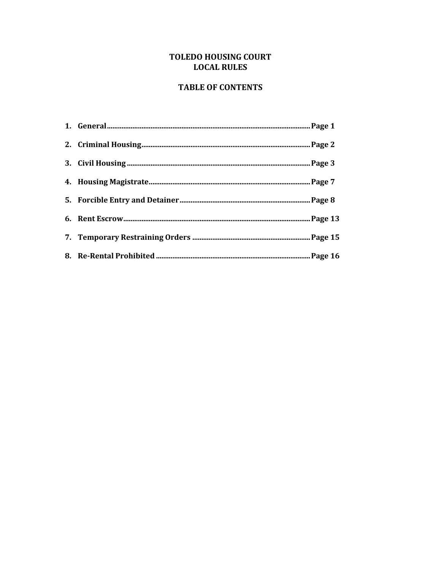# TOLEDO HOUSING COURT **LOCAL RULES**

## **TABLE OF CONTENTS**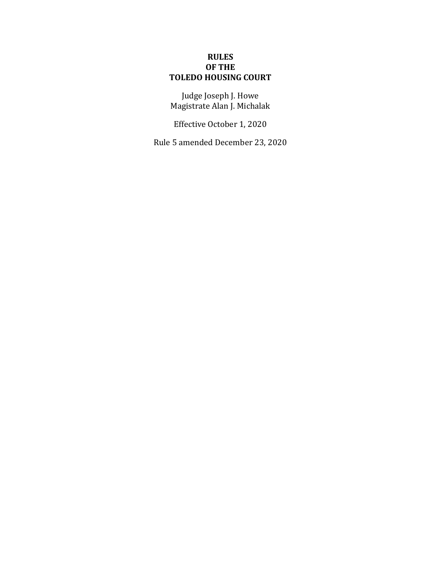## **RULES OF THE TOLEDO HOUSING COURT**

Judge Joseph J. Howe Magistrate Alan J. Michalak

Effective October 1, 2020

Rule 5 amended December 23, 2020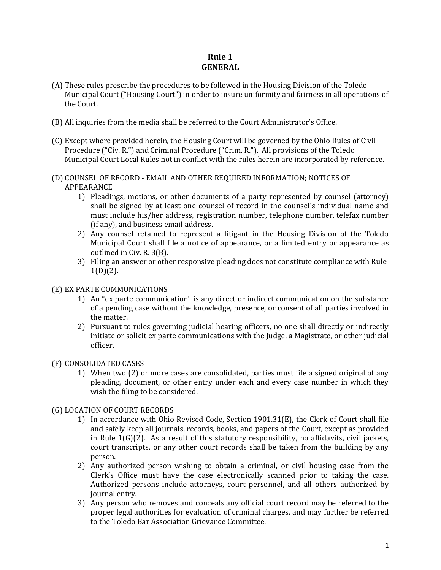# **Rule 1 GENERAL**

- (A) These rules prescribe the procedures to be followed in the Housing Division of the Toledo Municipal Court ("Housing Court") in order to insure uniformity and fairness in all operations of the Court.
- (B) All inquiries from the media shall be referred to the Court Administrator's Office.
- (C) Except where provided herein, the Housing Court will be governed by the Ohio Rules of Civil Procedure ("Civ. R.") and Criminal Procedure ("Crim. R."). All provisions of the Toledo Municipal Court Local Rules not in conflict with the rules herein are incorporated by reference.
- (D) COUNSEL OF RECORD EMAIL AND OTHER REQUIRED INFORMATION; NOTICES OF APPEARANCE
	- 1) Pleadings, motions, or other documents of a party represented by counsel (attorney) shall be signed by at least one counsel of record in the counsel's individual name and must include his/her address, registration number, telephone number, telefax number (if any), and business email address.
	- 2) Any counsel retained to represent a litigant in the Housing Division of the Toledo Municipal Court shall file a notice of appearance, or a limited entry or appearance as outlined in Civ. R. 3(B).
	- 3) Filing an answer or other responsive pleading does not constitute compliance with Rule  $1(D)(2)$ .

#### (E) EX PARTE COMMUNICATIONS

- 1) An "ex parte communication" is any direct or indirect communication on the substance of a pending case without the knowledge, presence, or consent of all parties involved in the matter.
- 2) Pursuant to rules governing judicial hearing officers, no one shall directly or indirectly initiate or solicit ex parte communications with the Judge, a Magistrate, or other judicial officer.

#### (F) CONSOLIDATED CASES

1) When two (2) or more cases are consolidated, parties must file a signed original of any pleading, document, or other entry under each and every case number in which they wish the filing to be considered.

#### (G) LOCATION OF COURT RECORDS

- 1) In accordance with Ohio Revised Code, Section 1901.31(E), the Clerk of Court shall file and safely keep all journals, records, books, and papers of the Court, except as provided in Rule 1(G)(2). As a result of this statutory responsibility, no affidavits, civil jackets, court transcripts, or any other court records shall be taken from the building by any person.
- 2) Any authorized person wishing to obtain a criminal, or civil housing case from the Clerk's Office must have the case electronically scanned prior to taking the case. Authorized persons include attorneys, court personnel, and all others authorized by journal entry.
- 3) Any person who removes and conceals any official court record may be referred to the proper legal authorities for evaluation of criminal charges, and may further be referred to the Toledo Bar Association Grievance Committee.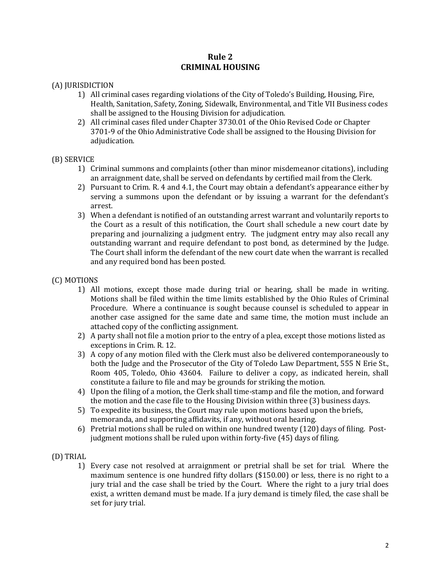## **Rule 2 CRIMINAL HOUSING**

#### (A) JURISDICTION

- 1) All criminal cases regarding violations of the City of Toledo's Building, Housing, Fire, Health, Sanitation, Safety, Zoning, Sidewalk, Environmental, and Title VII Business codes shall be assigned to the Housing Division for adjudication.
- 2) All criminal cases filed under Chapter 3730.01 of the Ohio Revised Code or Chapter 3701-9 of the Ohio Administrative Code shall be assigned to the Housing Division for adiudication.

#### (B) SERVICE

- 1) Criminal summons and complaints (other than minor misdemeanor citations), including an arraignment date, shall be served on defendants by certified mail from the Clerk.
- 2) Pursuant to Crim. R. 4 and 4.1, the Court may obtain a defendant's appearance either by serving a summons upon the defendant or by issuing a warrant for the defendant's arrest.
- 3) When a defendant is notified of an outstanding arrest warrant and voluntarily reports to the Court as a result of this notification, the Court shall schedule a new court date by preparing and journalizing a judgment entry. The judgment entry may also recall any outstanding warrant and require defendant to post bond, as determined by the Judge. The Court shall inform the defendant of the new court date when the warrant is recalled and any required bond has been posted.

#### (C) MOTIONS

- 1) All motions, except those made during trial or hearing, shall be made in writing. Motions shall be filed within the time limits established by the Ohio Rules of Criminal Procedure. Where a continuance is sought because counsel is scheduled to appear in another case assigned for the same date and same time, the motion must include an attached copy of the conflicting assignment.
- 2) A party shall not file a motion prior to the entry of a plea, except those motions listed as exceptions in Crim. R. 12.
- 3) A copy of any motion filed with the Clerk must also be delivered contemporaneously to both the Judge and the Prosecutor of the City of Toledo Law Department, 555 N Erie St., Room 405, Toledo, Ohio 43604. Failure to deliver a copy, as indicated herein, shall constitute a failure to file and may be grounds for striking the motion.
- 4) Upon the filing of a motion, the Clerk shall time-stamp and file the motion, and forward the motion and the case file to the Housing Division within three (3) business days.
- 5) To expedite its business, the Court may rule upon motions based upon the briefs, memoranda, and supporting affidavits, if any, without oral hearing.
- 6) Pretrial motions shall be ruled on within one hundred twenty (120) days of filing. Postjudgment motions shall be ruled upon within forty-five (45) days of filing.

#### (D) TRIAL

1) Every case not resolved at arraignment or pretrial shall be set for trial. Where the maximum sentence is one hundred fifty dollars (\$150.00) or less, there is no right to a jury trial and the case shall be tried by the Court. Where the right to a jury trial does exist, a written demand must be made. If a jury demand is timely filed, the case shall be set for jury trial.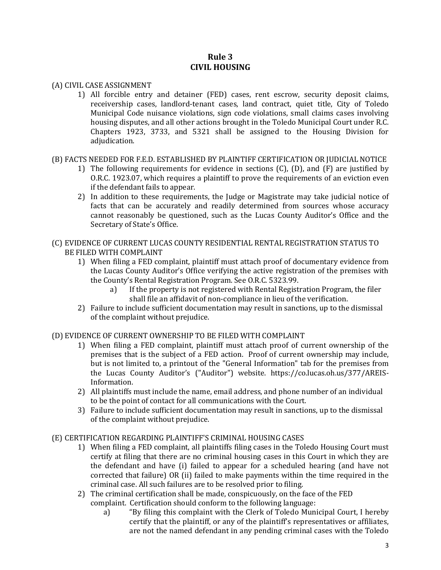## **Rule 3 CIVIL HOUSING**

#### (A) CIVIL CASE ASSIGNMENT

1) All forcible entry and detainer (FED) cases, rent escrow, security deposit claims, receivership cases, landlord-tenant cases, land contract, quiet title, City of Toledo Municipal Code nuisance violations, sign code violations, small claims cases involving housing disputes, and all other actions brought in the Toledo Municipal Court under R.C. Chapters 1923, 3733, and 5321 shall be assigned to the Housing Division for adjudication.

#### (B) FACTS NEEDED FOR F.E.D. ESTABLISHED BY PLAINTIFF CERTIFICATION OR JUDICIAL NOTICE

- 1) The following requirements for evidence in sections (C), (D), and (F) are justified by O.R.C. 1923.07, which requires a plaintiff to prove the requirements of an eviction even if the defendant fails to appear.
- 2) In addition to these requirements, the Judge or Magistrate may take judicial notice of facts that can be accurately and readily determined from sources whose accuracy cannot reasonably be questioned, such as the Lucas County Auditor's Office and the Secretary of State's Office.

#### (C) EVIDENCE OF CURRENT LUCAS COUNTY RESIDENTIAL RENTAL REGISTRATION STATUS TO BE FILED WITH COMPLAINT

- 1) When filing a FED complaint, plaintiff must attach proof of documentary evidence from the Lucas County Auditor's Office verifying the active registration of the premises with the County's Rental Registration Program. See O.R.C. 5323.99.
	- a) If the property is not registered with Rental Registration Program, the filer shall file an affidavit of non-compliance in lieu of the verification.
- 2) Failure to include sufficient documentation may result in sanctions, up to the dismissal of the complaint without prejudice.

#### (D) EVIDENCE OF CURRENT OWNERSHIP TO BE FILED WITH COMPLAINT

- 1) When filing a FED complaint, plaintiff must attach proof of current ownership of the premises that is the subject of a FED action. Proof of current ownership may include, but is not limited to, a printout of the "General Information" tab for the premises from the Lucas County Auditor's ("Auditor") website. https://co.lucas.oh.us/377/AREIS-Information.
- 2) All plaintiffs must include the name, email address, and phone number of an individual to be the point of contact for all communications with the Court.
- 3) Failure to include sufficient documentation may result in sanctions, up to the dismissal of the complaint without prejudice.

#### (E) CERTIFICATION REGARDING PLAINTIFF'S CRIMINAL HOUSING CASES

- 1) When filing a FED complaint, all plaintiffs filing cases in the Toledo Housing Court must certify at filing that there are no criminal housing cases in this Court in which they are the defendant and have (i) failed to appear for a scheduled hearing (and have not corrected that failure) OR (ii) failed to make payments within the time required in the criminal case. All such failures are to be resolved prior to filing.
- 2) The criminal certification shall be made, conspicuously, on the face of the FED complaint. Certification should conform to the following language:
	- a) "By filing this complaint with the Clerk of Toledo Municipal Court, I hereby certify that the plaintiff, or any of the plaintiff's representatives or affiliates, are not the named defendant in any pending criminal cases with the Toledo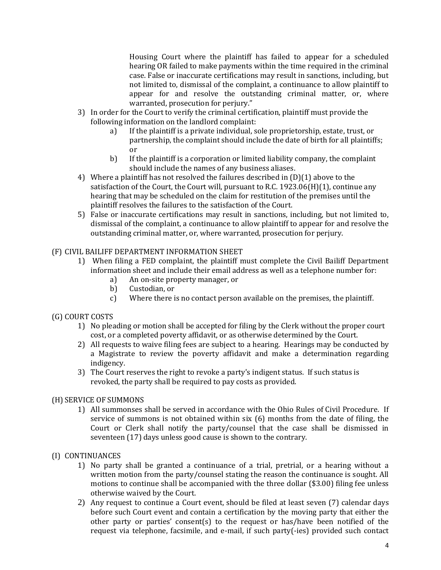Housing Court where the plaintiff has failed to appear for a scheduled hearing OR failed to make payments within the time required in the criminal case. False or inaccurate certifications may result in sanctions, including, but not limited to, dismissal of the complaint, a continuance to allow plaintiff to appear for and resolve the outstanding criminal matter, or, where warranted, prosecution for perjury."

- 3) In order for the Court to verify the criminal certification, plaintiff must provide the following information on the landlord complaint:
	- a) If the plaintiff is a private individual, sole proprietorship, estate, trust, or partnership, the complaint should include the date of birth for all plaintiffs; or
	- b) If the plaintiff is a corporation or limited liability company, the complaint should include the names of any business aliases.
- 4) Where a plaintiff has not resolved the failures described in (D)(1) above to the satisfaction of the Court, the Court will, pursuant to R.C. 1923.06(H)(1), continue any hearing that may be scheduled on the claim for restitution of the premises until the plaintiff resolves the failures to the satisfaction of the Court.
- 5) False or inaccurate certifications may result in sanctions, including, but not limited to, dismissal of the complaint, a continuance to allow plaintiff to appear for and resolve the outstanding criminal matter, or, where warranted, prosecution for perjury.

## (F) CIVIL BAILIFF DEPARTMENT INFORMATION SHEET

- 1) When filing a FED complaint, the plaintiff must complete the Civil Bailiff Department information sheet and include their email address as well as a telephone number for:
	- a) An on-site property manager, or
	- b) Custodian, or
	- c) Where there is no contact person available on the premises, the plaintiff.

#### (G) COURT COSTS

- 1) No pleading or motion shall be accepted for filing by the Clerk without the proper court cost, or a completed poverty affidavit, or as otherwise determined by the Court.
- 2) All requests to waive filing fees are subject to a hearing. Hearings may be conducted by a Magistrate to review the poverty affidavit and make a determination regarding indigency.
- 3) The Court reserves the right to revoke a party's indigent status. If such status is revoked, the party shall be required to pay costs as provided.

#### (H) SERVICE OF SUMMONS

1) All summonses shall be served in accordance with the Ohio Rules of Civil Procedure. If service of summons is not obtained within six (6) months from the date of filing, the Court or Clerk shall notify the party/counsel that the case shall be dismissed in seventeen (17) days unless good cause is shown to the contrary.

#### (I) CONTINUANCES

- 1) No party shall be granted a continuance of a trial, pretrial, or a hearing without a written motion from the party/counsel stating the reason the continuance is sought. All motions to continue shall be accompanied with the three dollar (\$3.00) filing fee unless otherwise waived by the Court.
- 2) Any request to continue a Court event, should be filed at least seven (7) calendar days before such Court event and contain a certification by the moving party that either the other party or parties' consent(s) to the request or has/have been notified of the request via telephone, facsimile, and e-mail, if such party(-ies) provided such contact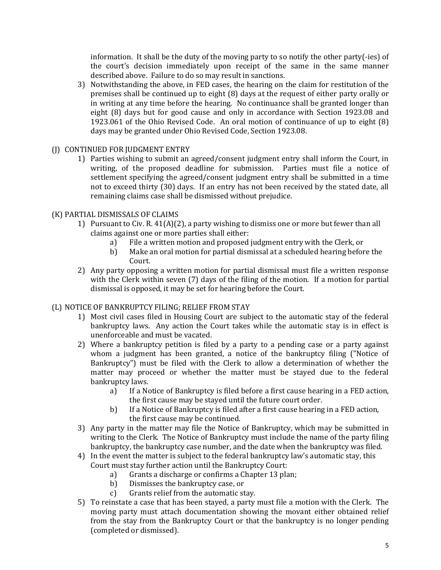information. It shall be the duty of the moving party to so notify the other party(-ies) of the court's decision immediately upon receipt of the same in the same manner described above. Failure to do so may result in sanctions.

- 3) Notwithstanding the above, in FED cases, the hearing on the claim for restitution of the premises shall be continued up to eight (8) days at the request of either party orally or in writing at any time before the hearing. No continuance shall be granted longer than eight (8) days but for good cause and only in accordance with Section 1923.08 and 1923.061 of the Ohio Revised Code. An oral motion of continuance of up to eight (8) days may be granted under Ohio Revised Code, Section 1923.08.
- (J) CONTINUED FOR JUDGMENT ENTRY
	- 1) Parties wishing to submit an agreed/consent judgment entry shall inform the Court, in writing, of the proposed deadline for submission. Parties must file a notice of settlement specifying the agreed/consent judgment entry shall be submitted in a time not to exceed thirty (30) days. If an entry has not been received by the stated date, all remaining claims case shall be dismissed without prejudice.
- (K) PARTIAL DISMISSALS OF CLAIMS
	- 1) Pursuant to Civ. R.  $41(A)(2)$ , a party wishing to dismiss one or more but fewer than all claims against one or more parties shall either:
		- a) File a written motion and proposed judgment entry with the Clerk, or
		- b) Make an oral motion for partial dismissal at a scheduled hearing before the Court.
	- 2) Any party opposing a written motion for partial dismissal must file a written response with the Clerk within seven (7) days of the filing of the motion. If a motion for partial dismissal is opposed, it may be set for hearing before the Court.

## (L) NOTICE OF BANKRUPTCY FILING; RELIEF FROM STAY

- 1) Most civil cases filed in Housing Court are subject to the automatic stay of the federal bankruptcy laws. Any action the Court takes while the automatic stay is in effect is unenforceable and must be vacated.
- 2) Where a bankruptcy petition is filed by a party to a pending case or a party against whom a judgment has been granted, a notice of the bankruptcy filing ("Notice of Bankruptcy") must be filed with the Clerk to allow a determination of whether the matter may proceed or whether the matter must be stayed due to the federal bankruptcy laws.
	- a) If a Notice of Bankruptcy is filed before a first cause hearing in a FED action, the first cause may be stayed until the future court order.
	- b) If a Notice of Bankruptcy is filed after a first cause hearing in a FED action, the first cause may be continued.
- 3) Any party in the matter may file the Notice of Bankruptcy, which may be submitted in writing to the Clerk. The Notice of Bankruptcy must include the name of the party filing bankruptcy, the bankruptcy case number, and the date when the bankruptcy was filed.
- 4) In the event the matter is subject to the federal bankruptcy law's automatic stay, this Court must stay further action until the Bankruptcy Court:
	- a) Grants a discharge or confirms a Chapter 13 plan;
	- b) Dismisses the bankruptcy case, or
	- c) Grants relief from the automatic stay.
- 5) To reinstate a case that has been stayed, a party must file a motion with the Clerk. The moving party must attach documentation showing the movant either obtained relief from the stay from the Bankruptcy Court or that the bankruptcy is no longer pending (completed or dismissed).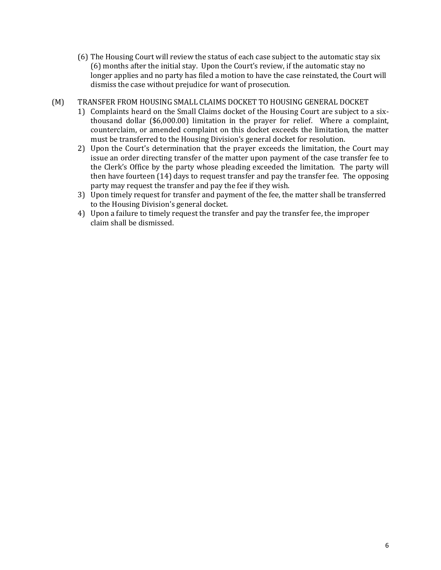(6) The Housing Court will review the status of each case subject to the automatic stay six (6) months after the initial stay. Upon the Court's review, if the automatic stay no longer applies and no party has filed a motion to have the case reinstated, the Court will dismiss the case without prejudice for want of prosecution.

#### (M) TRANSFER FROM HOUSING SMALL CLAIMS DOCKET TO HOUSING GENERAL DOCKET

- 1) Complaints heard on the Small Claims docket of the Housing Court are subject to a sixthousand dollar (\$6,000.00) limitation in the prayer for relief. Where a complaint, counterclaim, or amended complaint on this docket exceeds the limitation, the matter must be transferred to the Housing Division's general docket for resolution.
- 2) Upon the Court's determination that the prayer exceeds the limitation, the Court may issue an order directing transfer of the matter upon payment of the case transfer fee to the Clerk's Office by the party whose pleading exceeded the limitation. The party will then have fourteen (14) days to request transfer and pay the transfer fee. The opposing party may request the transfer and pay the fee if they wish.
- 3) Upon timely request for transfer and payment of the fee, the matter shall be transferred to the Housing Division's general docket.
- 4) Upon a failure to timely request the transfer and pay the transfer fee, the improper claim shall be dismissed.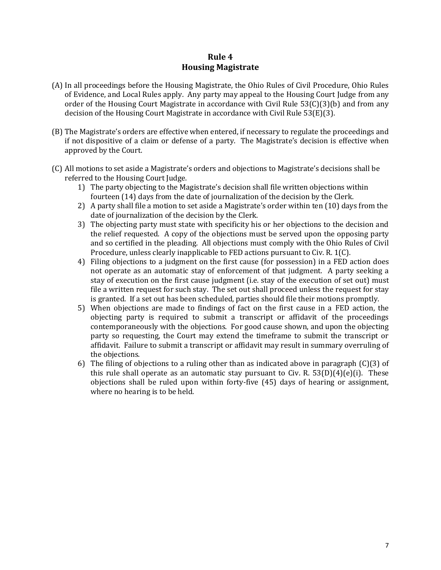## **Rule 4 Housing Magistrate**

- (A) In all proceedings before the Housing Magistrate, the Ohio Rules of Civil Procedure, Ohio Rules of Evidence, and Local Rules apply. Any party may appeal to the Housing Court Judge from any order of the Housing Court Magistrate in accordance with Civil Rule 53(C)(3)(b) and from any decision of the Housing Court Magistrate in accordance with Civil Rule 53(E)(3).
- (B) The Magistrate's orders are effective when entered, if necessary to regulate the proceedings and if not dispositive of a claim or defense of a party. The Magistrate's decision is effective when approved by the Court.
- (C) All motions to set aside a Magistrate's orders and objections to Magistrate's decisions shall be referred to the Housing Court Judge.
	- 1) The party objecting to the Magistrate's decision shall file written objections within fourteen (14) days from the date of journalization of the decision by the Clerk.
	- 2) A party shall file a motion to set aside a Magistrate's order within ten (10) days from the date of journalization of the decision by the Clerk.
	- 3) The objecting party must state with specificity his or her objections to the decision and the relief requested. A copy of the objections must be served upon the opposing party and so certified in the pleading. All objections must comply with the Ohio Rules of Civil Procedure, unless clearly inapplicable to FED actions pursuant to Civ. R. 1(C).
	- 4) Filing objections to a judgment on the first cause (for possession) in a FED action does not operate as an automatic stay of enforcement of that judgment. A party seeking a stay of execution on the first cause judgment (i.e. stay of the execution of set out) must file a written request for such stay. The set out shall proceed unless the request for stay is granted. If a set out has been scheduled, parties should file their motions promptly.
	- 5) When objections are made to findings of fact on the first cause in a FED action, the objecting party is required to submit a transcript or affidavit of the proceedings contemporaneously with the objections. For good cause shown, and upon the objecting party so requesting, the Court may extend the timeframe to submit the transcript or affidavit. Failure to submit a transcript or affidavit may result in summary overruling of the objections.
	- 6) The filing of objections to a ruling other than as indicated above in paragraph (C)(3) of this rule shall operate as an automatic stay pursuant to Civ. R.  $53(D)(4)(e)(i)$ . These objections shall be ruled upon within forty-five (45) days of hearing or assignment, where no hearing is to be held.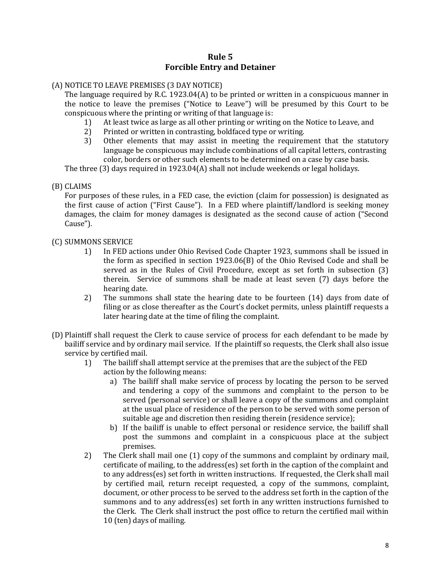## **Rule 5 Forcible Entry and Detainer**

## (A) NOTICE TO LEAVE PREMISES (3 DAY NOTICE)

The language required by R.C. 1923.04(A) to be printed or written in a conspicuous manner in the notice to leave the premises ("Notice to Leave") will be presumed by this Court to be conspicuous where the printing or writing of that language is:

- 1) At least twice as large as all other printing or writing on the Notice to Leave, and
- 2) Printed or written in contrasting, boldfaced type or writing.
- 3) Other elements that may assist in meeting the requirement that the statutory language be conspicuous may include combinations of all capital letters, contrasting color, borders or other such elements to be determined on a case by case basis.

The three (3) days required in 1923.04(A) shall not include weekends or legal holidays.

## (B) CLAIMS

For purposes of these rules, in a FED case, the eviction (claim for possession) is designated as the first cause of action ("First Cause"). In a FED where plaintiff/landlord is seeking money damages, the claim for money damages is designated as the second cause of action ("Second Cause").

#### (C) SUMMONS SERVICE

- 1) In FED actions under Ohio Revised Code Chapter 1923, summons shall be issued in the form as specified in section 1923.06(B) of the Ohio Revised Code and shall be served as in the Rules of Civil Procedure, except as set forth in subsection (3) therein. Service of summons shall be made at least seven (7) days before the hearing date.
- 2) The summons shall state the hearing date to be fourteen (14) days from date of filing or as close thereafter as the Court's docket permits, unless plaintiff requests a later hearing date at the time of filing the complaint.
- (D) Plaintiff shall request the Clerk to cause service of process for each defendant to be made by bailiff service and by ordinary mail service. If the plaintiff so requests, the Clerk shall also issue service by certified mail.
	- 1) The bailiff shall attempt service at the premises that are the subject of the FED action by the following means:
		- a) The bailiff shall make service of process by locating the person to be served and tendering a copy of the summons and complaint to the person to be served (personal service) or shall leave a copy of the summons and complaint at the usual place of residence of the person to be served with some person of suitable age and discretion then residing therein (residence service);
		- b) If the bailiff is unable to effect personal or residence service, the bailiff shall post the summons and complaint in a conspicuous place at the subject premises.
	- 2) The Clerk shall mail one (1) copy of the summons and complaint by ordinary mail, certificate of mailing, to the address(es) set forth in the caption of the complaint and to any address(es) set forth in written instructions. If requested, the Clerk shall mail by certified mail, return receipt requested, a copy of the summons, complaint, document, or other process to be served to the address set forth in the caption of the summons and to any address(es) set forth in any written instructions furnished to the Clerk. The Clerk shall instruct the post office to return the certified mail within 10 (ten) days of mailing.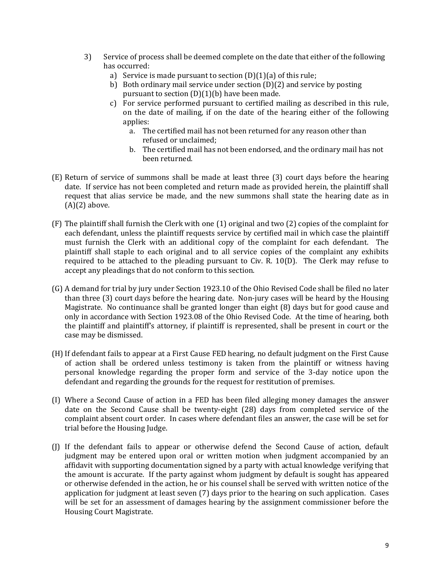- 3) Service of process shall be deemed complete on the date that either of the following has occurred:
	- a) Service is made pursuant to section  $(D)(1)(a)$  of this rule;
	- b) Both ordinary mail service under section (D)(2) and service by posting pursuant to section  $(D)(1)(b)$  have been made.
	- c) For service performed pursuant to certified mailing as described in this rule, on the date of mailing, if on the date of the hearing either of the following applies:
		- a. The certified mail has not been returned for any reason other than refused or unclaimed;
		- b. The certified mail has not been endorsed, and the ordinary mail has not been returned.
- (E) Return of service of summons shall be made at least three (3) court days before the hearing date. If service has not been completed and return made as provided herein, the plaintiff shall request that alias service be made, and the new summons shall state the hearing date as in  $(A)(2)$  above.
- (F) The plaintiff shall furnish the Clerk with one (1) original and two (2) copies of the complaint for each defendant, unless the plaintiff requests service by certified mail in which case the plaintiff must furnish the Clerk with an additional copy of the complaint for each defendant. The plaintiff shall staple to each original and to all service copies of the complaint any exhibits required to be attached to the pleading pursuant to Civ. R. 10(D). The Clerk may refuse to accept any pleadings that do not conform to this section.
- (G) A demand for trial by jury under Section 1923.10 of the Ohio Revised Code shall be filed no later than three (3) court days before the hearing date. Non-jury cases will be heard by the Housing Magistrate. No continuance shall be granted longer than eight (8) days but for good cause and only in accordance with Section 1923.08 of the Ohio Revised Code. At the time of hearing, both the plaintiff and plaintiff's attorney, if plaintiff is represented, shall be present in court or the case may be dismissed.
- (H)If defendant fails to appear at a First Cause FED hearing, no default judgment on the First Cause of action shall be ordered unless testimony is taken from the plaintiff or witness having personal knowledge regarding the proper form and service of the 3-day notice upon the defendant and regarding the grounds for the request for restitution of premises.
- (I) Where a Second Cause of action in a FED has been filed alleging money damages the answer date on the Second Cause shall be twenty-eight (28) days from completed service of the complaint absent court order. In cases where defendant files an answer, the case will be set for trial before the Housing Judge.
- (J) If the defendant fails to appear or otherwise defend the Second Cause of action, default judgment may be entered upon oral or written motion when judgment accompanied by an affidavit with supporting documentation signed by a party with actual knowledge verifying that the amount is accurate. If the party against whom judgment by default is sought has appeared or otherwise defended in the action, he or his counsel shall be served with written notice of the application for judgment at least seven (7) days prior to the hearing on such application. Cases will be set for an assessment of damages hearing by the assignment commissioner before the Housing Court Magistrate.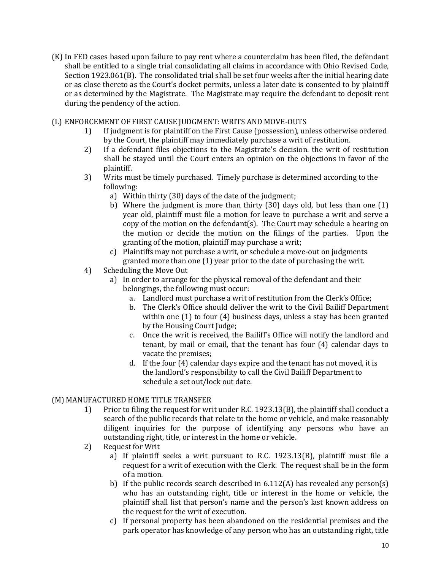- (K) In FED cases based upon failure to pay rent where a counterclaim has been filed, the defendant shall be entitled to a single trial consolidating all claims in accordance with Ohio Revised Code, Section 1923.061(B). The consolidated trial shall be set four weeks after the initial hearing date or as close thereto as the Court's docket permits, unless a later date is consented to by plaintiff or as determined by the Magistrate. The Magistrate may require the defendant to deposit rent during the pendency of the action.
- (L) ENFORCEMENT OF FIRST CAUSE JUDGMENT: WRITS AND MOVE-OUTS
	- 1) If judgment is for plaintiff on the First Cause (possession), unless otherwise ordered by the Court, the plaintiff may immediately purchase a writ of restitution.
	- 2) If a defendant files objections to the Magistrate's decision. the writ of restitution shall be stayed until the Court enters an opinion on the objections in favor of the plaintiff.
	- 3) Writs must be timely purchased. Timely purchase is determined according to the following:
		- a) Within thirty (30) days of the date of the judgment;
		- b) Where the judgment is more than thirty (30) days old, but less than one (1) year old, plaintiff must file a motion for leave to purchase a writ and serve a copy of the motion on the defendant(s). The Court may schedule a hearing on the motion or decide the motion on the filings of the parties. Upon the granting of the motion, plaintiff may purchase a writ;
		- c) Plaintiffs may not purchase a writ, or schedule a move-out on judgments granted more than one (1) year prior to the date of purchasing the writ.
	- 4) Scheduling the Move Out
		- a) In order to arrange for the physical removal of the defendant and their belongings, the following must occur:
			- a. Landlord must purchase a writ of restitution from the Clerk's Office;
			- b. The Clerk's Office should deliver the writ to the Civil Bailiff Department within one (1) to four (4) business days, unless a stay has been granted by the Housing Court Judge;
			- c. Once the writ is received, the Bailiff's Office will notify the landlord and tenant, by mail or email, that the tenant has four (4) calendar days to vacate the premises;
			- d. If the four (4) calendar days expire and the tenant has not moved, it is the landlord's responsibility to call the Civil Bailiff Department to schedule a set out/lock out date.

#### (M) MANUFACTURED HOME TITLE TRANSFER

- 1) Prior to filing the request for writ under R.C. 1923.13(B), the plaintiff shall conduct a search of the public records that relate to the home or vehicle, and make reasonably diligent inquiries for the purpose of identifying any persons who have an outstanding right, title, or interest in the home or vehicle.
- 2) Request for Writ
	- a) If plaintiff seeks a writ pursuant to R.C. 1923.13(B), plaintiff must file a request for a writ of execution with the Clerk. The request shall be in the form of a motion.
	- b) If the public records search described in  $6.112(A)$  has revealed any person(s) who has an outstanding right, title or interest in the home or vehicle, the plaintiff shall list that person's name and the person's last known address on the request for the writ of execution.
	- c) If personal property has been abandoned on the residential premises and the park operator has knowledge of any person who has an outstanding right, title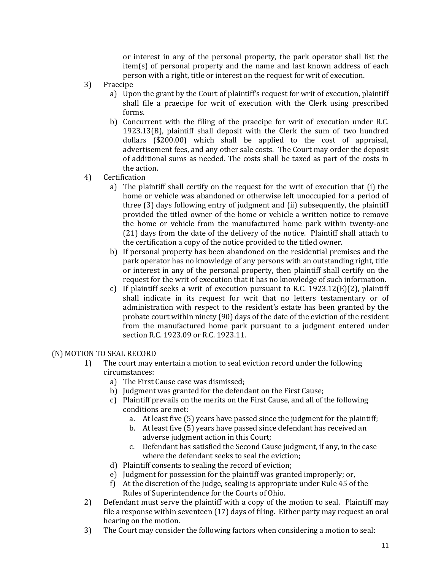or interest in any of the personal property, the park operator shall list the item(s) of personal property and the name and last known address of each person with a right, title or interest on the request for writ of execution.

- 3) Praecipe
	- a) Upon the grant by the Court of plaintiff's request for writ of execution, plaintiff shall file a praecipe for writ of execution with the Clerk using prescribed forms.
	- b) Concurrent with the filing of the praecipe for writ of execution under R.C. 1923.13(B), plaintiff shall deposit with the Clerk the sum of two hundred dollars (\$200.00) which shall be applied to the cost of appraisal, advertisement fees, and any other sale costs. The Court may order the deposit of additional sums as needed. The costs shall be taxed as part of the costs in the action.
- 4) Certification
	- a) The plaintiff shall certify on the request for the writ of execution that (i) the home or vehicle was abandoned or otherwise left unoccupied for a period of three (3) days following entry of judgment and (ii) subsequently, the plaintiff provided the titled owner of the home or vehicle a written notice to remove the home or vehicle from the manufactured home park within twenty-one (21) days from the date of the delivery of the notice. Plaintiff shall attach to the certification a copy of the notice provided to the titled owner.
	- b) If personal property has been abandoned on the residential premises and the park operator has no knowledge of any persons with an outstanding right, title or interest in any of the personal property, then plaintiff shall certify on the request for the writ of execution that it has no knowledge of such information.
	- c) If plaintiff seeks a writ of execution pursuant to R.C.  $1923.12(E)(2)$ , plaintiff shall indicate in its request for writ that no letters testamentary or of administration with respect to the resident's estate has been granted by the probate court within ninety (90) days of the date of the eviction of the resident from the manufactured home park pursuant to a judgment entered under section R.C. 1923.09 or R.C. 1923.11.

#### (N) MOTION TO SEAL RECORD

- 1) The court may entertain a motion to seal eviction record under the following circumstances:
	- a) The First Cause case was dismissed;
	- b) Judgment was granted for the defendant on the First Cause;
	- c) Plaintiff prevails on the merits on the First Cause, and all of the following conditions are met:
		- a. At least five (5) years have passed since the judgment for the plaintiff;
		- b. At least five (5) years have passed since defendant has received an adverse judgment action in this Court;
		- c. Defendant has satisfied the Second Cause judgment, if any, in the case where the defendant seeks to seal the eviction;
	- d) Plaintiff consents to sealing the record of eviction;
	- e) Judgment for possession for the plaintiff was granted improperly; or,
	- f) At the discretion of the Judge, sealing is appropriate under Rule 45 of the Rules of Superintendence for the Courts of Ohio.
- 2) Defendant must serve the plaintiff with a copy of the motion to seal. Plaintiff may file a response within seventeen (17) days of filing. Either party may request an oral hearing on the motion.
- 3) The Court may consider the following factors when considering a motion to seal: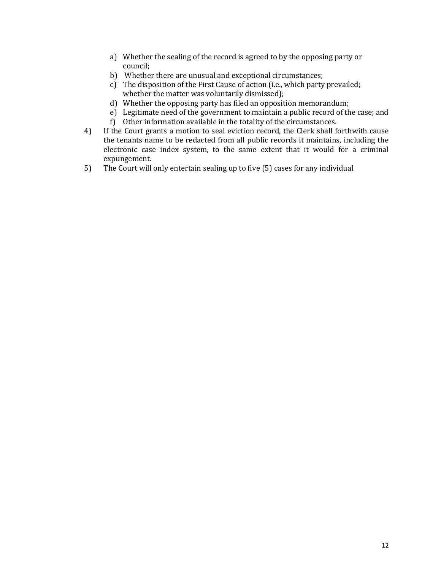- a) Whether the sealing of the record is agreed to by the opposing party or council;
- b) Whether there are unusual and exceptional circumstances;
- c) The disposition of the First Cause of action (i.e., which party prevailed; whether the matter was voluntarily dismissed);
- d) Whether the opposing party has filed an opposition memorandum;
- e) Legitimate need of the government to maintain a public record of the case; and
- f) Other information available in the totality of the circumstances.
- 4) If the Court grants a motion to seal eviction record, the Clerk shall forthwith cause the tenants name to be redacted from all public records it maintains, including the electronic case index system, to the same extent that it would for a criminal expungement.
- 5) The Court will only entertain sealing up to five (5) cases for any individual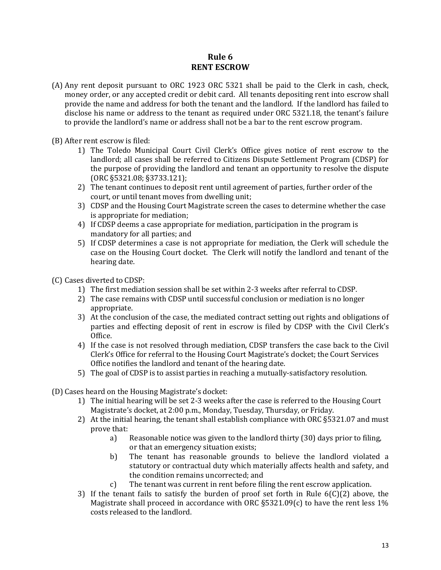## **Rule 6 RENT ESCROW**

- (A) Any rent deposit pursuant to ORC 1923 ORC 5321 shall be paid to the Clerk in cash, check, money order, or any accepted credit or debit card. All tenants depositing rent into escrow shall provide the name and address for both the tenant and the landlord. If the landlord has failed to disclose his name or address to the tenant as required under ORC 5321.18, the tenant's failure to provide the landlord's name or address shall not be a bar to the rent escrow program.
- (B) After rent escrow is filed:
	- 1) The Toledo Municipal Court Civil Clerk's Office gives notice of rent escrow to the landlord; all cases shall be referred to Citizens Dispute Settlement Program (CDSP) for the purpose of providing the landlord and tenant an opportunity to resolve the dispute (ORC §5321.08; §3733.121);
	- 2) The tenant continues to deposit rent until agreement of parties, further order of the court, or until tenant moves from dwelling unit;
	- 3) CDSP and the Housing Court Magistrate screen the cases to determine whether the case is appropriate for mediation;
	- 4) If CDSP deems a case appropriate for mediation, participation in the program is mandatory for all parties; and
	- 5) If CDSP determines a case is not appropriate for mediation, the Clerk will schedule the case on the Housing Court docket. The Clerk will notify the landlord and tenant of the hearing date.
- (C) Cases diverted to CDSP:
	- 1) The first mediation session shall be set within 2-3 weeks after referral to CDSP.
	- 2) The case remains with CDSP until successful conclusion or mediation is no longer appropriate.
	- 3) At the conclusion of the case, the mediated contract setting out rights and obligations of parties and effecting deposit of rent in escrow is filed by CDSP with the Civil Clerk's Office.
	- 4) If the case is not resolved through mediation, CDSP transfers the case back to the Civil Clerk's Office for referral to the Housing Court Magistrate's docket; the Court Services Office notifies the landlord and tenant of the hearing date.
	- 5) The goal of CDSP is to assist parties in reaching a mutually-satisfactory resolution.
- (D) Cases heard on the Housing Magistrate's docket:
	- 1) The initial hearing will be set 2-3 weeks after the case is referred to the Housing Court Magistrate's docket, at 2:00 p.m., Monday, Tuesday, Thursday, or Friday.
	- 2) At the initial hearing, the tenant shall establish compliance with ORC §5321.07 and must prove that:
		- a) Reasonable notice was given to the landlord thirty (30) days prior to filing, or that an emergency situation exists;
		- b) The tenant has reasonable grounds to believe the landlord violated a statutory or contractual duty which materially affects health and safety, and the condition remains uncorrected; and
		- c) The tenant was current in rent before filing the rent escrow application.
	- 3) If the tenant fails to satisfy the burden of proof set forth in Rule  $6(C)(2)$  above, the Magistrate shall proceed in accordance with ORC  $\S 5321.09(c)$  to have the rent less 1% costs released to the landlord.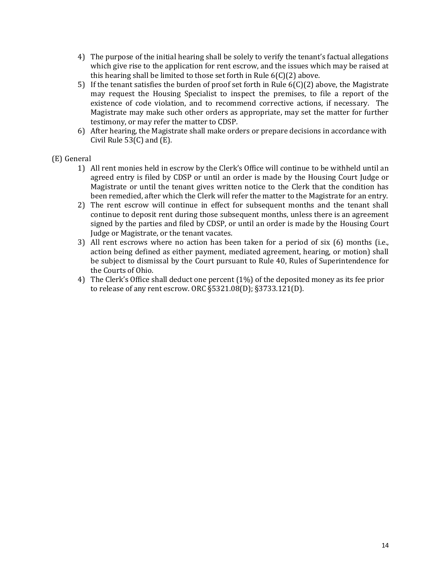- 4) The purpose of the initial hearing shall be solely to verify the tenant's factual allegations which give rise to the application for rent escrow, and the issues which may be raised at this hearing shall be limited to those set forth in Rule 6(C)(2) above.
- 5) If the tenant satisfies the burden of proof set forth in Rule 6(C)(2) above, the Magistrate may request the Housing Specialist to inspect the premises, to file a report of the existence of code violation, and to recommend corrective actions, if necessary. The Magistrate may make such other orders as appropriate, may set the matter for further testimony, or may refer the matter to CDSP.
- 6) After hearing, the Magistrate shall make orders or prepare decisions in accordance with Civil Rule  $53(C)$  and  $(E)$ .

#### (E) General

- 1) All rent monies held in escrow by the Clerk's Office will continue to be withheld until an agreed entry is filed by CDSP or until an order is made by the Housing Court Judge or Magistrate or until the tenant gives written notice to the Clerk that the condition has been remedied, after which the Clerk will refer the matter to the Magistrate for an entry.
- 2) The rent escrow will continue in effect for subsequent months and the tenant shall continue to deposit rent during those subsequent months, unless there is an agreement signed by the parties and filed by CDSP, or until an order is made by the Housing Court Judge or Magistrate, or the tenant vacates.
- 3) All rent escrows where no action has been taken for a period of six (6) months (i.e., action being defined as either payment, mediated agreement, hearing, or motion) shall be subject to dismissal by the Court pursuant to Rule 40, Rules of Superintendence for the Courts of Ohio.
- 4) The Clerk's Office shall deduct one percent (1%) of the deposited money as its fee prior to release of any rent escrow. ORC §5321.08(D); §3733.121(D).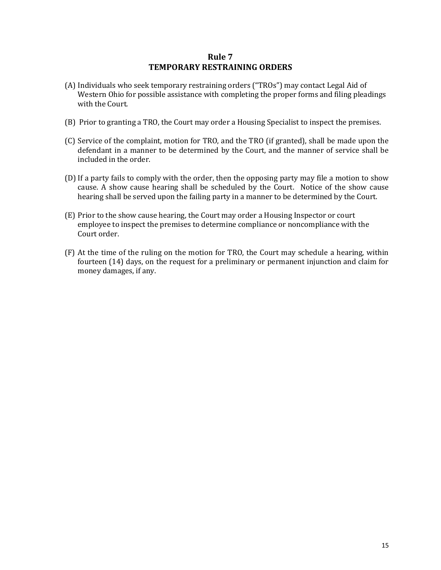### **Rule 7 TEMPORARY RESTRAINING ORDERS**

- (A) Individuals who seek temporary restraining orders ("TROs") may contact Legal Aid of Western Ohio for possible assistance with completing the proper forms and filing pleadings with the Court.
- (B) Prior to granting a TRO, the Court may order a Housing Specialist to inspect the premises.
- (C) Service of the complaint, motion for TRO, and the TRO (if granted), shall be made upon the defendant in a manner to be determined by the Court, and the manner of service shall be included in the order.
- (D) If a party fails to comply with the order, then the opposing party may file a motion to show cause. A show cause hearing shall be scheduled by the Court. Notice of the show cause hearing shall be served upon the failing party in a manner to be determined by the Court.
- (E) Prior to the show cause hearing, the Court may order a Housing Inspector or court employee to inspect the premises to determine compliance or noncompliance with the Court order.
- (F) At the time of the ruling on the motion for TRO, the Court may schedule a hearing, within fourteen (14) days, on the request for a preliminary or permanent injunction and claim for money damages, if any.